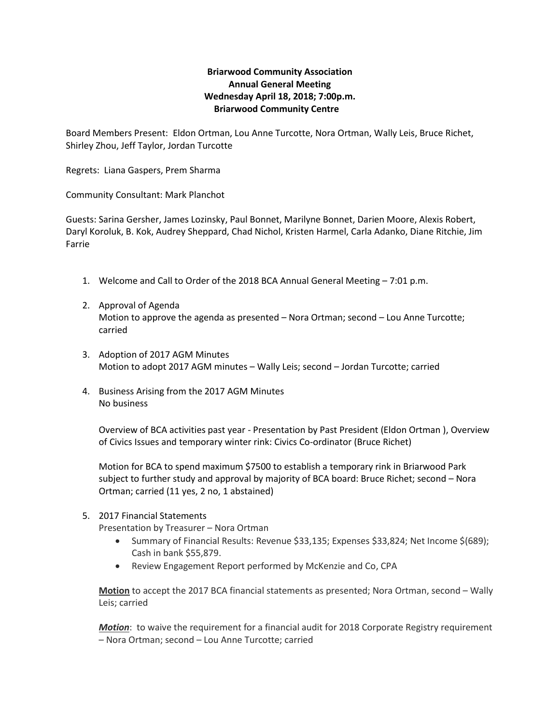## **Briarwood Community Association Annual General Meeting Wednesday April 18, 2018; 7:00p.m. Briarwood Community Centre**

Board Members Present: Eldon Ortman, Lou Anne Turcotte, Nora Ortman, Wally Leis, Bruce Richet, Shirley Zhou, Jeff Taylor, Jordan Turcotte

Regrets: Liana Gaspers, Prem Sharma

Community Consultant: Mark Planchot

Guests: Sarina Gersher, James Lozinsky, Paul Bonnet, Marilyne Bonnet, Darien Moore, Alexis Robert, Daryl Koroluk, B. Kok, Audrey Sheppard, Chad Nichol, Kristen Harmel, Carla Adanko, Diane Ritchie, Jim Farrie

- 1. Welcome and Call to Order of the 2018 BCA Annual General Meeting 7:01 p.m.
- 2. Approval of Agenda Motion to approve the agenda as presented – Nora Ortman; second – Lou Anne Turcotte; carried
- 3. Adoption of 2017 AGM Minutes Motion to adopt 2017 AGM minutes – Wally Leis; second – Jordan Turcotte; carried
- 4. Business Arising from the 2017 AGM Minutes No business

Overview of BCA activities past year - Presentation by Past President (Eldon Ortman ), Overview of Civics Issues and temporary winter rink: Civics Co-ordinator (Bruce Richet)

Motion for BCA to spend maximum \$7500 to establish a temporary rink in Briarwood Park subject to further study and approval by majority of BCA board: Bruce Richet; second – Nora Ortman; carried (11 yes, 2 no, 1 abstained)

### 5. 2017 Financial Statements

Presentation by Treasurer – Nora Ortman

- Summary of Financial Results: Revenue \$33,135; Expenses \$33,824; Net Income \$(689); Cash in bank \$55,879.
- Review Engagement Report performed by McKenzie and Co, CPA

**Motion** to accept the 2017 BCA financial statements as presented; Nora Ortman, second – Wally Leis; carried

*Motion*: to waive the requirement for a financial audit for 2018 Corporate Registry requirement – Nora Ortman; second – Lou Anne Turcotte; carried